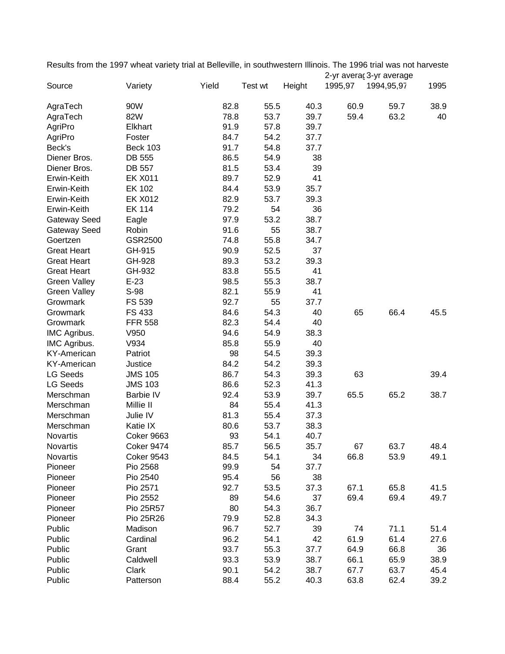Results from the 1997 wheat variety trial at Belleville, in southwestern Illinois. The 1996 trial was not harveste 2-yr averac3-yr average

| Source              | Variety           | Yield | Test wt | Height | 1995,97 | 1994,95,97 | 1995 |
|---------------------|-------------------|-------|---------|--------|---------|------------|------|
| AgraTech            | 90W               | 82.8  | 55.5    | 40.3   | 60.9    | 59.7       | 38.9 |
| AgraTech            | 82W               | 78.8  | 53.7    | 39.7   | 59.4    | 63.2       | 40   |
| AgriPro             | Elkhart           | 91.9  | 57.8    | 39.7   |         |            |      |
| AgriPro             | Foster            | 84.7  | 54.2    | 37.7   |         |            |      |
| Beck's              | <b>Beck 103</b>   | 91.7  | 54.8    | 37.7   |         |            |      |
| Diener Bros.        | DB 555            | 86.5  | 54.9    | 38     |         |            |      |
| Diener Bros.        | DB 557            | 81.5  | 53.4    | 39     |         |            |      |
| Erwin-Keith         | <b>EK X011</b>    | 89.7  | 52.9    | 41     |         |            |      |
| Erwin-Keith         | EK 102            | 84.4  | 53.9    | 35.7   |         |            |      |
| Erwin-Keith         | <b>EK X012</b>    | 82.9  | 53.7    | 39.3   |         |            |      |
| Erwin-Keith         | <b>EK 114</b>     | 79.2  | 54      | 36     |         |            |      |
| Gateway Seed        | Eagle             | 97.9  | 53.2    | 38.7   |         |            |      |
| Gateway Seed        | Robin             | 91.6  | 55      | 38.7   |         |            |      |
| Goertzen            | GSR2500           | 74.8  | 55.8    | 34.7   |         |            |      |
| <b>Great Heart</b>  | GH-915            | 90.9  | 52.5    | 37     |         |            |      |
| <b>Great Heart</b>  | GH-928            | 89.3  | 53.2    | 39.3   |         |            |      |
| <b>Great Heart</b>  | GH-932            | 83.8  | 55.5    | 41     |         |            |      |
| <b>Green Valley</b> | $E-23$            | 98.5  | 55.3    | 38.7   |         |            |      |
| <b>Green Valley</b> | S-98              | 82.1  | 55.9    | 41     |         |            |      |
| Growmark            | FS 539            | 92.7  | 55      | 37.7   |         |            |      |
| Growmark            | FS 433            | 84.6  | 54.3    | 40     | 65      | 66.4       | 45.5 |
| Growmark            | <b>FFR 558</b>    | 82.3  | 54.4    | 40     |         |            |      |
| IMC Agribus.        | V950              | 94.6  | 54.9    | 38.3   |         |            |      |
| IMC Agribus.        | V934              | 85.8  | 55.9    | 40     |         |            |      |
| KY-American         | Patriot           | 98    | 54.5    | 39.3   |         |            |      |
| <b>KY-American</b>  | Justice           | 84.2  | 54.2    | 39.3   |         |            |      |
| <b>LG Seeds</b>     | <b>JMS 105</b>    | 86.7  | 54.3    | 39.3   | 63      |            | 39.4 |
| <b>LG Seeds</b>     | <b>JMS 103</b>    | 86.6  | 52.3    | 41.3   |         |            |      |
| Merschman           | Barbie IV         | 92.4  | 53.9    | 39.7   | 65.5    | 65.2       | 38.7 |
| Merschman           | Millie II         | 84    | 55.4    | 41.3   |         |            |      |
| Merschman           | Julie IV          | 81.3  | 55.4    | 37.3   |         |            |      |
| Merschman           | Katie IX          | 80.6  | 53.7    | 38.3   |         |            |      |
| Novartis            | Coker 9663        | 93    | 54.1    | 40.7   |         |            |      |
| <b>Novartis</b>     | <b>Coker 9474</b> | 85.7  | 56.5    | 35.7   | 67      | 63.7       | 48.4 |
| Novartis            | <b>Coker 9543</b> | 84.5  | 54.1    | 34     | 66.8    | 53.9       | 49.1 |
| Pioneer             | Pio 2568          | 99.9  | 54      | 37.7   |         |            |      |
| Pioneer             | Pio 2540          | 95.4  | 56      | 38     |         |            |      |
| Pioneer             | Pio 2571          | 92.7  | 53.5    | 37.3   | 67.1    | 65.8       | 41.5 |
| Pioneer             | Pio 2552          | 89    | 54.6    | 37     | 69.4    | 69.4       | 49.7 |
| Pioneer             | Pio 25R57         | 80    | 54.3    | 36.7   |         |            |      |
| Pioneer             | Pio 25R26         | 79.9  | 52.8    | 34.3   |         |            |      |
| Public              | Madison           | 96.7  | 52.7    | 39     | 74      | 71.1       | 51.4 |
| Public              | Cardinal          | 96.2  | 54.1    | 42     | 61.9    | 61.4       | 27.6 |
| Public              | Grant             | 93.7  | 55.3    | 37.7   | 64.9    | 66.8       | 36   |
| Public              | Caldwell          | 93.3  | 53.9    | 38.7   | 66.1    | 65.9       | 38.9 |
| Public              | Clark             | 90.1  | 54.2    | 38.7   | 67.7    | 63.7       | 45.4 |
| Public              | Patterson         | 88.4  | 55.2    | 40.3   | 63.8    | 62.4       | 39.2 |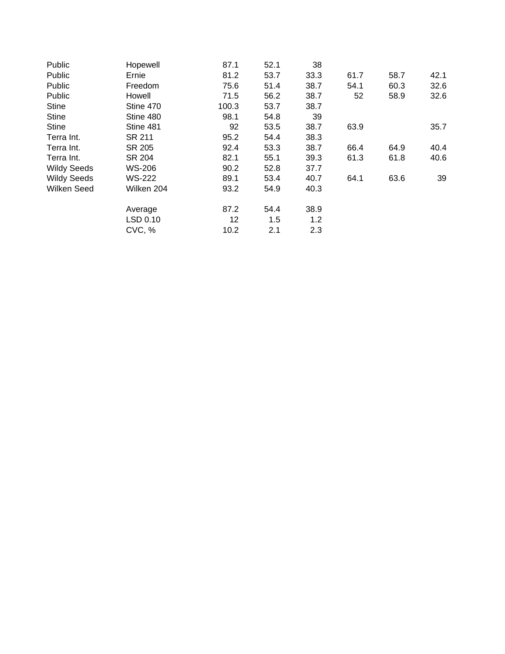| Public             | Hopewell      | 87.1  | 52.1 | 38   |      |      |      |
|--------------------|---------------|-------|------|------|------|------|------|
| Public             | Ernie         | 81.2  | 53.7 | 33.3 | 61.7 | 58.7 | 42.1 |
| Public             | Freedom       | 75.6  | 51.4 | 38.7 | 54.1 | 60.3 | 32.6 |
| Public             | Howell        | 71.5  | 56.2 | 38.7 | 52   | 58.9 | 32.6 |
| <b>Stine</b>       | Stine 470     | 100.3 | 53.7 | 38.7 |      |      |      |
| <b>Stine</b>       | Stine 480     | 98.1  | 54.8 | 39   |      |      |      |
| <b>Stine</b>       | Stine 481     | 92    | 53.5 | 38.7 | 63.9 |      | 35.7 |
| Terra Int.         | SR 211        | 95.2  | 54.4 | 38.3 |      |      |      |
| Terra Int.         | SR 205        | 92.4  | 53.3 | 38.7 | 66.4 | 64.9 | 40.4 |
| Terra Int.         | SR 204        | 82.1  | 55.1 | 39.3 | 61.3 | 61.8 | 40.6 |
| <b>Wildy Seeds</b> | <b>WS-206</b> | 90.2  | 52.8 | 37.7 |      |      |      |
| <b>Wildy Seeds</b> | <b>WS-222</b> | 89.1  | 53.4 | 40.7 | 64.1 | 63.6 | 39   |
| Wilken Seed        | Wilken 204    | 93.2  | 54.9 | 40.3 |      |      |      |
|                    | Average       | 87.2  | 54.4 | 38.9 |      |      |      |
|                    | LSD 0.10      | 12    | 1.5  | 1.2  |      |      |      |
|                    | CVC, %        | 10.2  | 2.1  | 2.3  |      |      |      |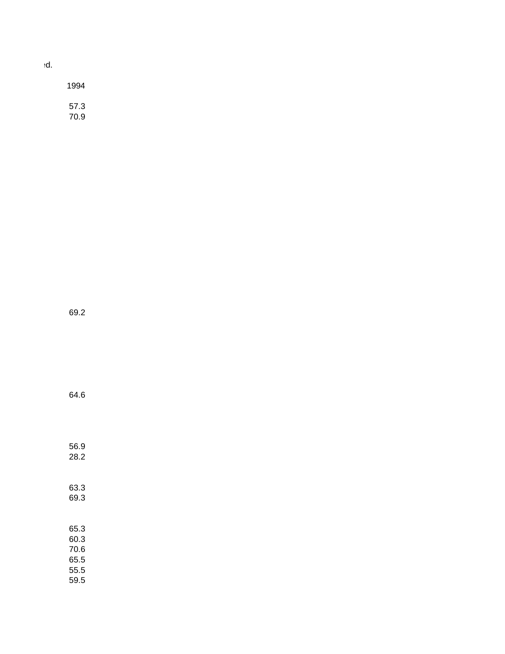| 1994         |  |
|--------------|--|
| 57.3<br>70.9 |  |

Results from the 1997 wheat variety trial at Belleville, in southwestern Illinois. The 1996 trial was not harvested.

69.2

64.6

56.9 28.2

63.3 69.3 65.3 60.3 70.6 65.5 55.5 59.5